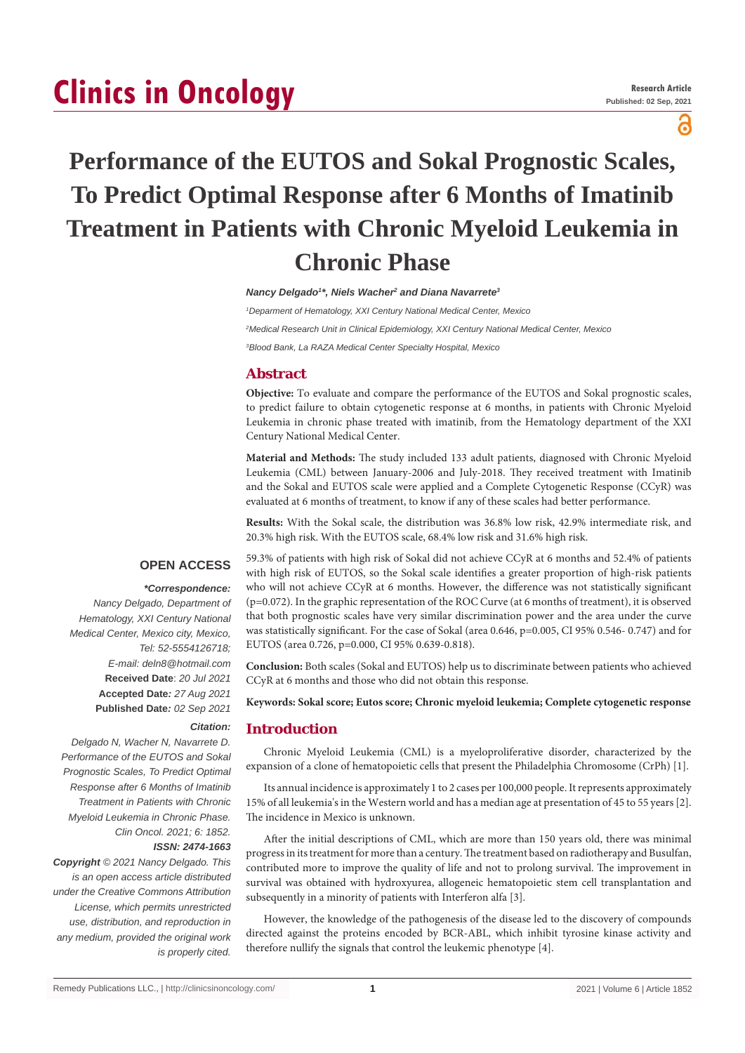# **Clinics in Oncology**

പ്പ

# **Performance of the EUTOS and Sokal Prognostic Scales, To Predict Optimal Response after 6 Months of Imatinib Treatment in Patients with Chronic Myeloid Leukemia in Chronic Phase**

*Nancy Delgado1 \*, Niels Wacher2 and Diana Navarrete3*

*1 Deparment of Hematology, XXI Century National Medical Center, Mexico 2 Medical Research Unit in Clinical Epidemiology, XXI Century National Medical Center, Mexico 3 Blood Bank, La RAZA Medical Center Specialty Hospital, Mexico*

# **Abstract**

**Objective:** To evaluate and compare the performance of the EUTOS and Sokal prognostic scales, to predict failure to obtain cytogenetic response at 6 months, in patients with Chronic Myeloid Leukemia in chronic phase treated with imatinib, from the Hematology department of the XXI Century National Medical Center.

**Material and Methods:** The study included 133 adult patients, diagnosed with Chronic Myeloid Leukemia (CML) between January-2006 and July-2018. They received treatment with Imatinib and the Sokal and EUTOS scale were applied and a Complete Cytogenetic Response (CCyR) was evaluated at 6 months of treatment, to know if any of these scales had better performance.

**Results:** With the Sokal scale, the distribution was 36.8% low risk, 42.9% intermediate risk, and 20.3% high risk. With the EUTOS scale, 68.4% low risk and 31.6% high risk.

# **OPEN ACCESS**

# *\*Correspondence:*

*Nancy Delgado, Department of Hematology, XXI Century National Medical Center, Mexico city, Mexico, Tel: 52-5554126718; E-mail: deln8@hotmail.com* **Received Date**: *20 Jul 2021* **Accepted Date***: 27 Aug 2021* **Published Date***: 02 Sep 2021*

*Citation:* 

*Delgado N, Wacher N, Navarrete D. Performance of the EUTOS and Sokal Prognostic Scales, To Predict Optimal Response after 6 Months of Imatinib Treatment in Patients with Chronic Myeloid Leukemia in Chronic Phase. Clin Oncol. 2021; 6: 1852. ISSN: 2474-1663*

*Copyright © 2021 Nancy Delgado. This is an open access article distributed under the Creative Commons Attribution License, which permits unrestricted use, distribution, and reproduction in any medium, provided the original work is properly cited.*

59.3% of patients with high risk of Sokal did not achieve CCyR at 6 months and 52.4% of patients with high risk of EUTOS, so the Sokal scale identifies a greater proportion of high-risk patients who will not achieve CCyR at 6 months. However, the difference was not statistically significant (p=0.072). In the graphic representation of the ROC Curve (at 6 months of treatment), it is observed that both prognostic scales have very similar discrimination power and the area under the curve was statistically significant. For the case of Sokal (area 0.646, p=0.005, CI 95% 0.546- 0.747) and for EUTOS (area 0.726, p=0.000, CI 95% 0.639-0.818).

**Conclusion:** Both scales (Sokal and EUTOS) help us to discriminate between patients who achieved CCyR at 6 months and those who did not obtain this response.

**Keywords: Sokal score; Eutos score; Chronic myeloid leukemia; Complete cytogenetic response**

# **Introduction**

Chronic Myeloid Leukemia (CML) is a myeloproliferative disorder, characterized by the expansion of a clone of hematopoietic cells that present the Philadelphia Chromosome (CrPh) [1].

Its annual incidence is approximately 1 to 2 cases per 100,000 people. It represents approximately 15% of all leukemia's in the Western world and has a median age at presentation of 45 to 55 years [2]. The incidence in Mexico is unknown.

After the initial descriptions of CML, which are more than 150 years old, there was minimal progress in its treatment for more than a century. The treatment based on radiotherapy and Busulfan, contributed more to improve the quality of life and not to prolong survival. The improvement in survival was obtained with hydroxyurea, allogeneic hematopoietic stem cell transplantation and subsequently in a minority of patients with Interferon alfa [3].

However, the knowledge of the pathogenesis of the disease led to the discovery of compounds directed against the proteins encoded by BCR-ABL, which inhibit tyrosine kinase activity and therefore nullify the signals that control the leukemic phenotype [4].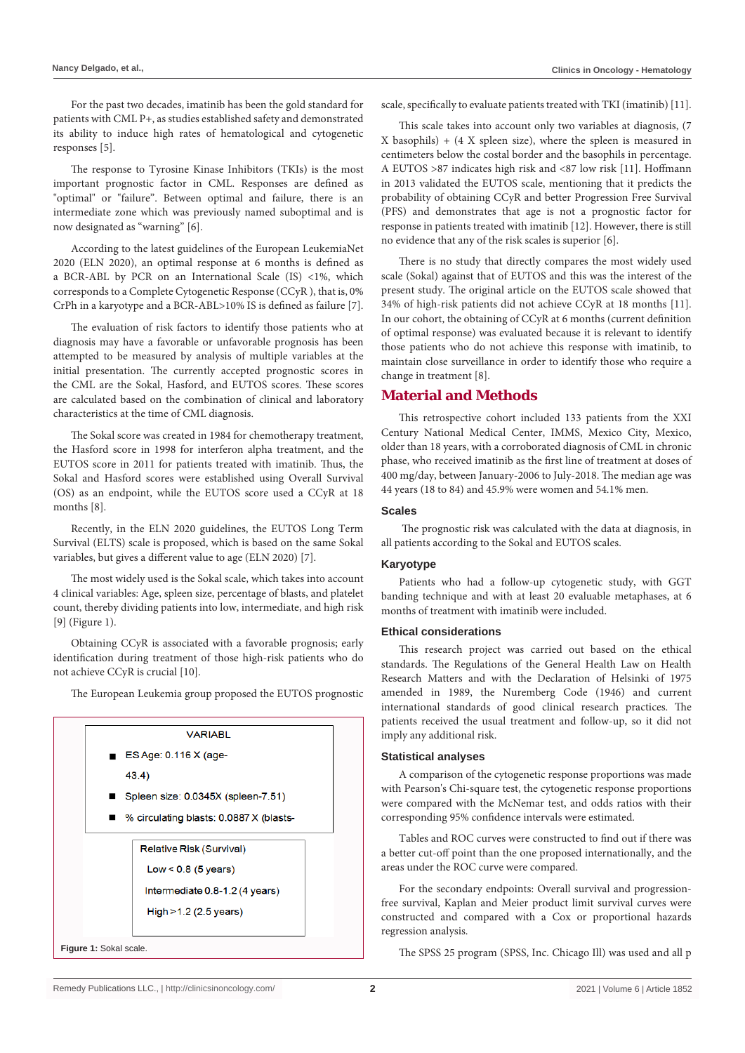For the past two decades, imatinib has been the gold standard for patients with CML P+, as studies established safety and demonstrated its ability to induce high rates of hematological and cytogenetic responses [5].

The response to Tyrosine Kinase Inhibitors (TKIs) is the most important prognostic factor in CML. Responses are defined as "optimal" or "failure". Between optimal and failure, there is an intermediate zone which was previously named suboptimal and is now designated as "warning" [6].

According to the latest guidelines of the European LeukemiaNet 2020 (ELN 2020), an optimal response at 6 months is defined as a BCR-ABL by PCR on an International Scale (IS) <1%, which corresponds to a Complete Cytogenetic Response (CCyR ), that is, 0% CrPh in a karyotype and a BCR-ABL>10% IS is defined as failure [7].

The evaluation of risk factors to identify those patients who at diagnosis may have a favorable or unfavorable prognosis has been attempted to be measured by analysis of multiple variables at the initial presentation. The currently accepted prognostic scores in the CML are the Sokal, Hasford, and EUTOS scores. These scores are calculated based on the combination of clinical and laboratory characteristics at the time of CML diagnosis.

The Sokal score was created in 1984 for chemotherapy treatment, the Hasford score in 1998 for interferon alpha treatment, and the EUTOS score in 2011 for patients treated with imatinib. Thus, the Sokal and Hasford scores were established using Overall Survival (OS) as an endpoint, while the EUTOS score used a CCyR at 18 months [8].

Recently, in the ELN 2020 guidelines, the EUTOS Long Term Survival (ELTS) scale is proposed, which is based on the same Sokal variables, but gives a different value to age (ELN 2020) [7].

The most widely used is the Sokal scale, which takes into account 4 clinical variables: Age, spleen size, percentage of blasts, and platelet count, thereby dividing patients into low, intermediate, and high risk [9] (Figure 1).

Obtaining CCyR is associated with a favorable prognosis; early identification during treatment of those high-risk patients who do not achieve CCyR is crucial [10].

The European Leukemia group proposed the EUTOS prognostic

|                        | VARIABL                                                |  |  |
|------------------------|--------------------------------------------------------|--|--|
|                        | $\blacksquare$ ES Age: 0.116 X (age-                   |  |  |
|                        | 43.4)                                                  |  |  |
|                        | Spleen size: 0.0345X (spleen-7.51)                     |  |  |
|                        | $\blacksquare$ % circulating blasts: 0.0887 X (blasts- |  |  |
|                        |                                                        |  |  |
|                        | Relative Risk (Survival)                               |  |  |
|                        | $Low < 0.8$ (5 years)                                  |  |  |
|                        | Intermediate 0.8-1.2 (4 years)                         |  |  |
|                        | High > 1.2 (2.5 years)                                 |  |  |
|                        |                                                        |  |  |
| Figure 1: Sokal scale. |                                                        |  |  |

scale, specifically to evaluate patients treated with TKI (imatinib) [11].

This scale takes into account only two variables at diagnosis, (7 X basophils) + (4 X spleen size), where the spleen is measured in centimeters below the costal border and the basophils in percentage. A EUTOS >87 indicates high risk and <87 low risk [11]. Hoffmann in 2013 validated the EUTOS scale, mentioning that it predicts the probability of obtaining CCyR and better Progression Free Survival (PFS) and demonstrates that age is not a prognostic factor for response in patients treated with imatinib [12]. However, there is still no evidence that any of the risk scales is superior [6].

There is no study that directly compares the most widely used scale (Sokal) against that of EUTOS and this was the interest of the present study. The original article on the EUTOS scale showed that 34% of high-risk patients did not achieve CCyR at 18 months [11]. In our cohort, the obtaining of CCyR at 6 months (current definition of optimal response) was evaluated because it is relevant to identify those patients who do not achieve this response with imatinib, to maintain close surveillance in order to identify those who require a change in treatment [8].

# **Material and Methods**

This retrospective cohort included 133 patients from the XXI Century National Medical Center, IMMS, Mexico City, Mexico, older than 18 years, with a corroborated diagnosis of CML in chronic phase, who received imatinib as the first line of treatment at doses of 400 mg/day, between January-2006 to July-2018. The median age was 44 years (18 to 84) and 45.9% were women and 54.1% men.

#### **Scales**

 The prognostic risk was calculated with the data at diagnosis, in all patients according to the Sokal and EUTOS scales.

#### **Karyotype**

Patients who had a follow-up cytogenetic study, with GGT banding technique and with at least 20 evaluable metaphases, at 6 months of treatment with imatinib were included.

#### **Ethical considerations**

This research project was carried out based on the ethical standards. The Regulations of the General Health Law on Health Research Matters and with the Declaration of Helsinki of 1975 amended in 1989, the Nuremberg Code (1946) and current international standards of good clinical research practices. The patients received the usual treatment and follow-up, so it did not imply any additional risk.

#### **Statistical analyses**

A comparison of the cytogenetic response proportions was made with Pearson's Chi-square test, the cytogenetic response proportions were compared with the McNemar test, and odds ratios with their corresponding 95% confidence intervals were estimated.

Tables and ROC curves were constructed to find out if there was a better cut-off point than the one proposed internationally, and the areas under the ROC curve were compared.

For the secondary endpoints: Overall survival and progressionfree survival, Kaplan and Meier product limit survival curves were constructed and compared with a Cox or proportional hazards regression analysis.

The SPSS 25 program (SPSS, Inc. Chicago Ill) was used and all p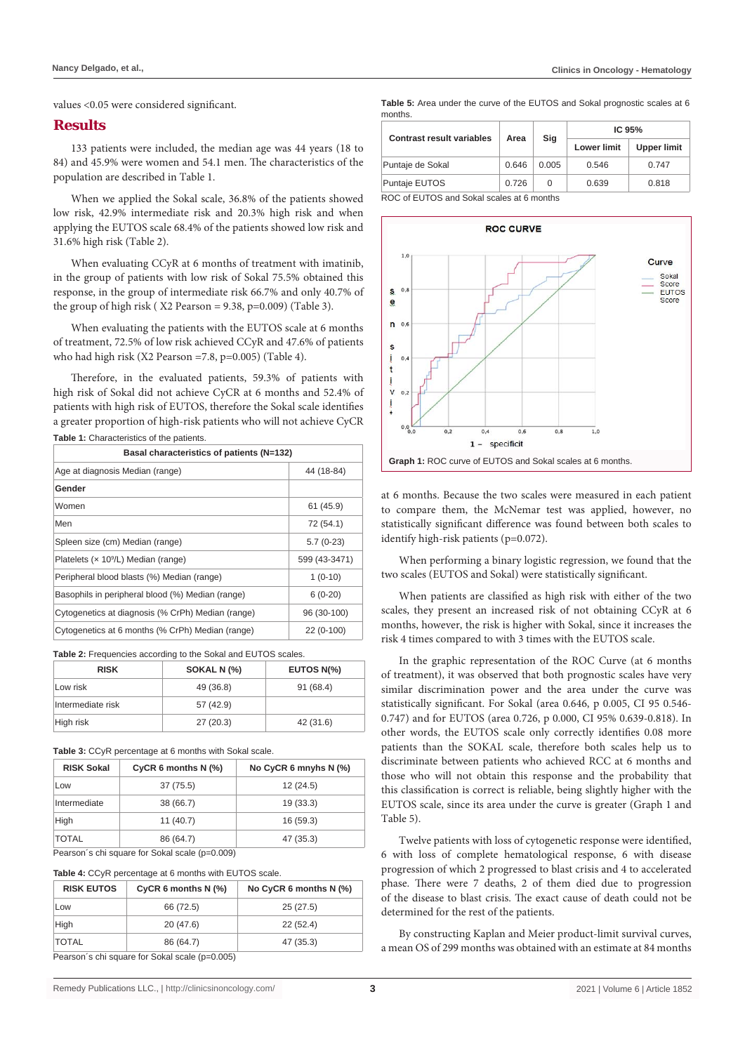#### **Results**

133 patients were included, the median age was 44 years (18 to 84) and 45.9% were women and 54.1 men. The characteristics of the population are described in Table 1.

When we applied the Sokal scale, 36.8% of the patients showed low risk, 42.9% intermediate risk and 20.3% high risk and when applying the EUTOS scale 68.4% of the patients showed low risk and 31.6% high risk (Table 2).

When evaluating CCyR at 6 months of treatment with imatinib, in the group of patients with low risk of Sokal 75.5% obtained this response, in the group of intermediate risk 66.7% and only 40.7% of the group of high risk ( X2 Pearson = 9.38, p=0.009) (Table 3).

When evaluating the patients with the EUTOS scale at 6 months of treatment, 72.5% of low risk achieved CCyR and 47.6% of patients who had high risk (X2 Pearson =7.8, p=0.005) (Table 4).

Therefore, in the evaluated patients, 59.3% of patients with high risk of Sokal did not achieve CyCR at 6 months and 52.4% of patients with high risk of EUTOS, therefore the Sokal scale identifies a greater proportion of high-risk patients who will not achieve CyCR **Table 1:** Characteristics of the patients.

| Basal characteristics of patients (N=132)         |               |  |  |  |
|---------------------------------------------------|---------------|--|--|--|
| Age at diagnosis Median (range)                   | 44 (18-84)    |  |  |  |
| Gender                                            |               |  |  |  |
| Women                                             | 61(45.9)      |  |  |  |
| Men                                               | 72 (54.1)     |  |  |  |
| Spleen size (cm) Median (range)                   | $5.7(0-23)$   |  |  |  |
| Platelets (x 10 <sup>9</sup> /L) Median (range)   | 599 (43-3471) |  |  |  |
| Peripheral blood blasts (%) Median (range)        | $1(0-10)$     |  |  |  |
| Basophils in peripheral blood (%) Median (range)  | $6(0-20)$     |  |  |  |
| Cytogenetics at diagnosis (% CrPh) Median (range) | 96 (30-100)   |  |  |  |
| Cytogenetics at 6 months (% CrPh) Median (range)  | 22 (0-100)    |  |  |  |

| <b>Table 2:</b> Frequencies according to the Sokal and EUTOS scales. |             |            |  |  |  |  |
|----------------------------------------------------------------------|-------------|------------|--|--|--|--|
| <b>RISK</b>                                                          | SOKAL N (%) | EUTOS N(%) |  |  |  |  |
| Low risk                                                             | 49 (36.8)   | 91(68.4)   |  |  |  |  |
| Intermediate risk                                                    | 57 (42.9)   |            |  |  |  |  |
| High risk                                                            | 27(20.3)    | 42 (31.6)  |  |  |  |  |

**Table 2:** Frequencies according to the Sokal and EUTOS scales.

**Table 3:** CCyR percentage at 6 months with Sokal scale.

| <b>RISK Sokal</b>                                | CyCR 6 months $N$ (%) | No CyCR 6 mnyhs $N$ $(\%)$ |  |  |
|--------------------------------------------------|-----------------------|----------------------------|--|--|
| Low                                              | 37 (75.5)             | 12(24.5)                   |  |  |
| Intermediate                                     | 38 (66.7)             | 19(33.3)                   |  |  |
| High                                             | 11(40.7)              | 16 (59.3)                  |  |  |
| <b>TOTAL</b>                                     | 86 (64.7)             | 47 (35.3)                  |  |  |
| Bearach's chi square for Polici scale (n. 0.000) |                       |                            |  |  |

Pearson´s chi square for Sokal scale (p=0.009)

| <b>RISK EUTOS</b>                              | CyCR 6 months $N$ (%) | No CyCR 6 months N (%) |  |  |
|------------------------------------------------|-----------------------|------------------------|--|--|
| Low                                            | 66 (72.5)             | 25(27.5)               |  |  |
| High                                           | 20(47.6)              | 22(52.4)               |  |  |
| <b>TOTAL</b>                                   | 86 (64.7)             | 47 (35.3)              |  |  |
| Pearson's chi square for Sokal scale (p=0.005) |                       |                        |  |  |

Pearson´s chi square for Sokal scale (p=0.005)

**Table 5:** Area under the curve of the EUTOS and Sokal prognostic scales at 6 months.

| <b>Contrast result variables</b> | Area  | Sig   | IC $95%$           |                    |
|----------------------------------|-------|-------|--------------------|--------------------|
|                                  |       |       | <b>Lower limit</b> | <b>Upper limit</b> |
| Puntaje de Sokal                 | 0.646 | 0.005 | 0.546              | 0.747              |
| Puntaje EUTOS                    | 0.726 | 0     | 0.639              | 0.818              |

ROC of EUTOS and Sokal scales at 6 months



at 6 months. Because the two scales were measured in each patient to compare them, the McNemar test was applied, however, no statistically significant difference was found between both scales to identify high-risk patients (p=0.072).

When performing a binary logistic regression, we found that the two scales (EUTOS and Sokal) were statistically significant.

When patients are classified as high risk with either of the two scales, they present an increased risk of not obtaining CCyR at 6 months, however, the risk is higher with Sokal, since it increases the risk 4 times compared to with 3 times with the EUTOS scale.

In the graphic representation of the ROC Curve (at 6 months of treatment), it was observed that both prognostic scales have very similar discrimination power and the area under the curve was statistically significant. For Sokal (area 0.646, p 0.005, CI 95 0.546- 0.747) and for EUTOS (area 0.726, p 0.000, CI 95% 0.639-0.818). In other words, the EUTOS scale only correctly identifies 0.08 more patients than the SOKAL scale, therefore both scales help us to discriminate between patients who achieved RCC at 6 months and those who will not obtain this response and the probability that this classification is correct is reliable, being slightly higher with the EUTOS scale, since its area under the curve is greater (Graph 1 and Table 5).

Twelve patients with loss of cytogenetic response were identified, 6 with loss of complete hematological response, 6 with disease progression of which 2 progressed to blast crisis and 4 to accelerated phase. There were 7 deaths, 2 of them died due to progression of the disease to blast crisis. The exact cause of death could not be determined for the rest of the patients.

By constructing Kaplan and Meier product-limit survival curves, a mean OS of 299 months was obtained with an estimate at 84 months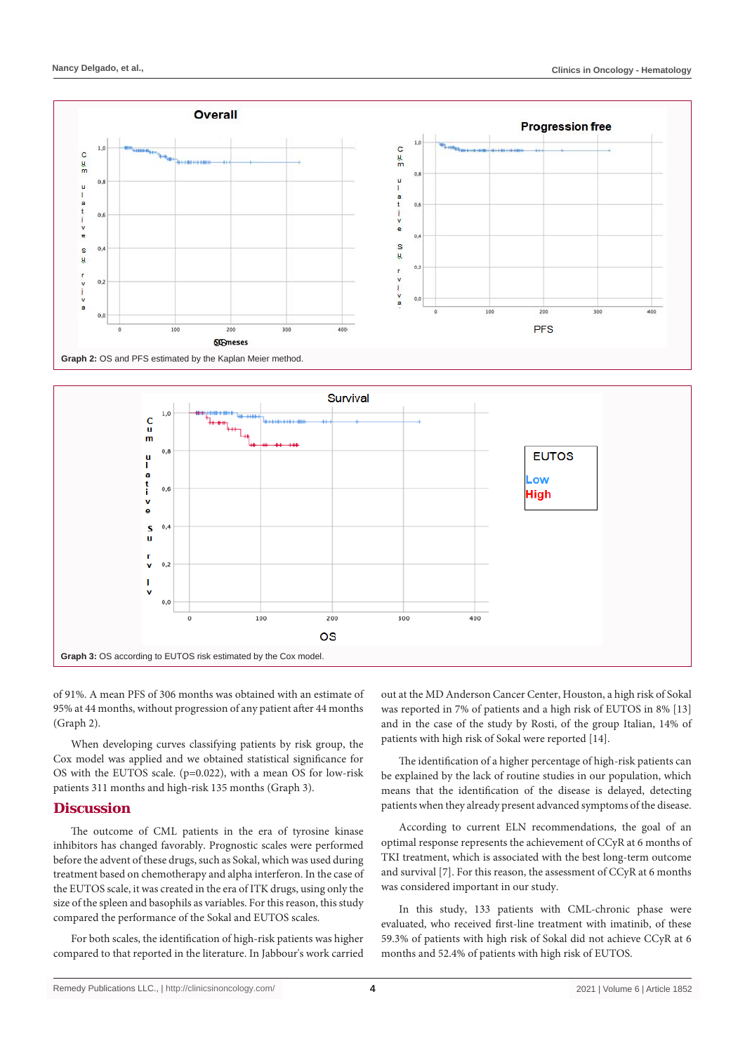



of 91%. A mean PFS of 306 months was obtained with an estimate of 95% at 44 months, without progression of any patient after 44 months (Graph 2).

When developing curves classifying patients by risk group, the Cox model was applied and we obtained statistical significance for OS with the EUTOS scale. (p=0.022), with a mean OS for low-risk patients 311 months and high-risk 135 months (Graph 3).

# **Discussion**

The outcome of CML patients in the era of tyrosine kinase inhibitors has changed favorably. Prognostic scales were performed before the advent of these drugs, such as Sokal, which was used during treatment based on chemotherapy and alpha interferon. In the case of the EUTOS scale, it was created in the era of ITK drugs, using only the size of the spleen and basophils as variables. For this reason, this study compared the performance of the Sokal and EUTOS scales.

For both scales, the identification of high-risk patients was higher compared to that reported in the literature. In Jabbour's work carried out at the MD Anderson Cancer Center, Houston, a high risk of Sokal was reported in 7% of patients and a high risk of EUTOS in 8% [13] and in the case of the study by Rosti, of the group Italian, 14% of patients with high risk of Sokal were reported [14].

The identification of a higher percentage of high-risk patients can be explained by the lack of routine studies in our population, which means that the identification of the disease is delayed, detecting patients when they already present advanced symptoms of the disease.

According to current ELN recommendations, the goal of an optimal response represents the achievement of CCyR at 6 months of TKI treatment, which is associated with the best long-term outcome and survival [7]. For this reason, the assessment of CCyR at 6 months was considered important in our study.

In this study, 133 patients with CML-chronic phase were evaluated, who received first-line treatment with imatinib, of these 59.3% of patients with high risk of Sokal did not achieve CCyR at 6 months and 52.4% of patients with high risk of EUTOS.